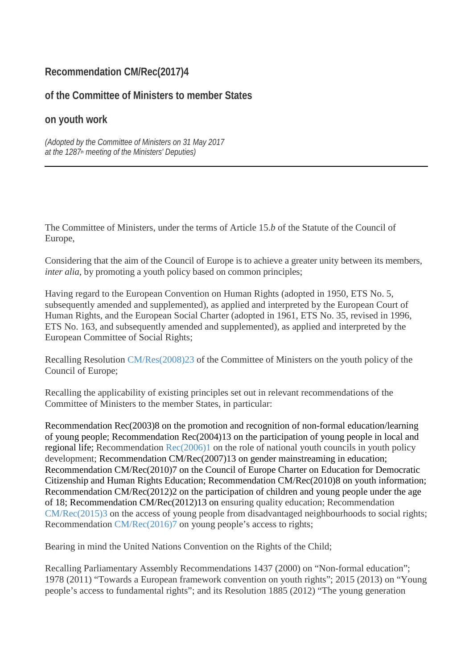## **Recommendation CM/Rec(2017)4**

### **of the Committee of Ministers to member States**

### **on youth work**

*(Adopted by the Committee of Ministers on 31 May 2017 at the 1287th meeting of the Ministers' Deputies)*

The Committee of Ministers, under the terms of Article 15.*b* of the Statute of the Council of Europe,

Considering that the aim of the Council of Europe is to achieve a greater unity between its members, *inter alia*, by promoting a youth policy based on common principles;

Having regard to the European Convention on Human Rights (adopted in 1950, ETS No. 5, subsequently amended and supplemented), as applied and interpreted by the European Court of Human Rights, and the European Social Charter (adopted in 1961, ETS No. 35, revised in 1996, ETS No. 163, and subsequently amended and supplemented), as applied and interpreted by the European Committee of Social Rights;

Recalling Resolution [CM/Res\(2008\)23](https://search.coe.int/cm/Pages/result_details.aspx?Reference=CM/Res(2008)23) of the Committee of Ministers on the youth policy of the Council of Europe;

Recalling the applicability of existing principles set out in relevant recommendations of the Committee of Ministers to the member States, in particular:

Recommendation [Rec\(2003\)8](https://search.coe.int/cm/Pages/result_details.aspx?Reference=Rec(2003)8) on the promotion and recognition of non-formal education/learning of young people; Recommendation [Rec\(2004\)13](https://search.coe.int/cm/Pages/result_details.aspx?Reference=Rec(2004)13) on the participation of young people in local and regional life; Recommendation [Rec\(2006\)1](https://search.coe.int/cm/Pages/result_details.aspx?Reference=Rec(2006)1) on the role of national youth councils in youth policy development; Recommendation [CM/Rec\(2007\)13](https://search.coe.int/cm/Pages/result_details.aspx?Reference=CM/Rec(2007)13) on gender mainstreaming in education; Recommendation [CM/Rec\(2010\)7](https://search.coe.int/cm/Pages/result_details.aspx?Reference=CM/Rec(2010)7) on the Council of Europe Charter on Education for Democratic Citizenship and Human Rights Education; Recommendation [CM/Rec\(2010\)8](https://search.coe.int/cm/Pages/result_details.aspx?Reference=CM/Rec(2010)8) on youth information; Recommendation [CM/Rec\(2012\)2](https://search.coe.int/cm/Pages/result_details.aspx?Reference=CM/Rec(2012)2) on the participation of children and young people under the age of 18; Recommendation [CM/Rec\(2012\)13](https://search.coe.int/cm/Pages/result_details.aspx?Reference=CM/Rec(2012)13) on ensuring quality education; Recommendation [CM/Rec\(2015\)3](https://search.coe.int/cm/Pages/result_details.aspx?Reference=CM/Rec(2015)3) on the access of young people from disadvantaged neighbourhoods to social rights; Recommendation [CM/Rec\(2016\)7](https://search.coe.int/cm/Pages/result_details.aspx?Reference=CM/Rec(2016)7) on young people's access to rights;

Bearing in mind the United Nations Convention on the Rights of the Child;

Recalling Parliamentary Assembly Recommendations 1437 (2000) on "Non-formal education"; 1978 (2011) "Towards a European framework convention on youth rights"; 2015 (2013) on "Young people's access to fundamental rights"; and its Resolution 1885 (2012) "The young generation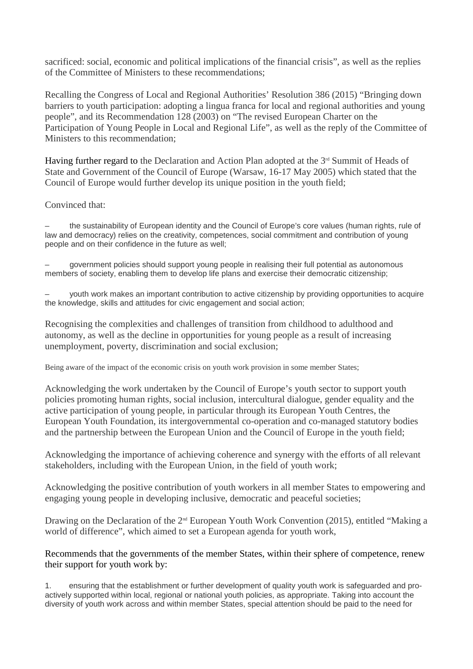sacrificed: social, economic and political implications of the financial crisis", as well as the replies of the Committee of Ministers to these recommendations;

Recalling the Congress of Local and Regional Authorities' Resolution 386 (2015) "Bringing down barriers to youth participation: adopting a lingua franca for local and regional authorities and young people", and its Recommendation 128 (2003) on "The revised European Charter on the Participation of Young People in Local and Regional Life", as well as the reply of the Committee of Ministers to this recommendation;

Having further regard to the Declaration and Action Plan adopted at the  $3<sup>rd</sup>$  Summit of Heads of State and Government of the Council of Europe (Warsaw, 16-17 May 2005) which stated that the Council of Europe would further develop its unique position in the youth field;

#### Convinced that:

– the sustainability of European identity and the Council of Europe's core values (human rights, rule of law and democracy) relies on the creativity, competences, social commitment and contribution of young people and on their confidence in the future as well;

– government policies should support young people in realising their full potential as autonomous members of society, enabling them to develop life plans and exercise their democratic citizenship;

– youth work makes an important contribution to active citizenship by providing opportunities to acquire the knowledge, skills and attitudes for civic engagement and social action;

Recognising the complexities and challenges of transition from childhood to adulthood and autonomy, as well as the decline in opportunities for young people as a result of increasing unemployment, poverty, discrimination and social exclusion;

Being aware of the impact of the economic crisis on youth work provision in some member States;

Acknowledging the work undertaken by the Council of Europe's youth sector to support youth policies promoting human rights, social inclusion, intercultural dialogue, gender equality and the active participation of young people, in particular through its European Youth Centres, the European Youth Foundation, its intergovernmental co-operation and co-managed statutory bodies and the partnership between the European Union and the Council of Europe in the youth field;

Acknowledging the importance of achieving coherence and synergy with the efforts of all relevant stakeholders, including with the European Union, in the field of youth work;

Acknowledging the positive contribution of youth workers in all member States to empowering and engaging young people in developing inclusive, democratic and peaceful societies;

Drawing on the Declaration of the 2<sup>nd</sup> European Youth Work Convention (2015), entitled "Making a world of difference", which aimed to set a European agenda for youth work,

#### Recommends that the governments of the member States, within their sphere of competence, renew their support for youth work by:

1. ensuring that the establishment or further development of quality youth work is safeguarded and proactively supported within local, regional or national youth policies, as appropriate. Taking into account the diversity of youth work across and within member States, special attention should be paid to the need for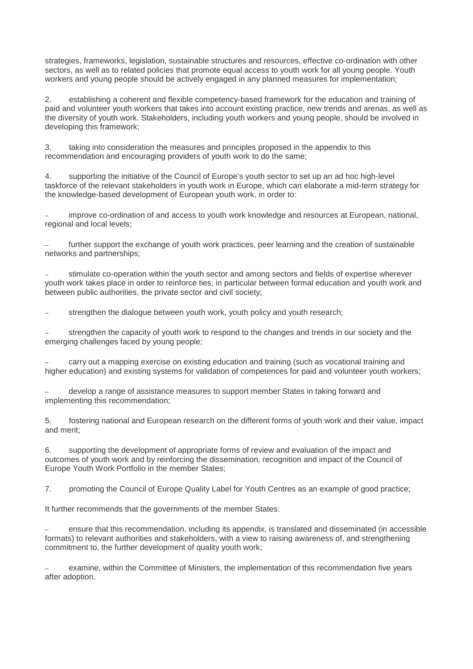strategies, frameworks, legislation, sustainable structures and resources, effective co-ordination with other sectors, as well as to related policies that promote equal access to youth work for all young people. Youth workers and young people should be actively engaged in any planned measures for implementation;

2. establishing a coherent and flexible competency-based framework for the education and training of paid and volunteer youth workers that takes into account existing practice, new trends and arenas, as well as the diversity of youth work. Stakeholders, including youth workers and young people, should be involved in developing this framework;

3. taking into consideration the measures and principles proposed in the appendix to this recommendation and encouraging providers of youth work to do the same;

4. supporting the initiative of the Council of Europe's youth sector to set up an ad hoc high-level taskforce of the relevant stakeholders in youth work in Europe, which can elaborate a mid-term strategy for the knowledge-based development of European youth work, in order to:

improve co-ordination of and access to youth work knowledge and resources at European, national, regional and local levels;

further support the exchange of youth work practices, peer learning and the creation of sustainable networks and partnerships;

– stimulate co-operation within the youth sector and among sectors and fields of expertise wherever youth work takes place in order to reinforce ties, in particular between formal education and youth work and between public authorities, the private sector and civil society;

– strengthen the dialogue between youth work, youth policy and youth research;

– strengthen the capacity of youth work to respond to the changes and trends in our society and the emerging challenges faced by young people;

– carry out a mapping exercise on existing education and training (such as vocational training and higher education) and existing systems for validation of competences for paid and volunteer youth workers;

– develop a range of assistance measures to support member States in taking forward and implementing this recommendation;

5. fostering national and European research on the different forms of youth work and their value, impact and merit;

6. supporting the development of appropriate forms of review and evaluation of the impact and outcomes of youth work and by reinforcing the dissemination, recognition and impact of the Council of Europe Youth Work Portfolio in the member States;

7. promoting the Council of Europe Quality Label for Youth Centres as an example of good practice;

It further recommends that the governments of the member States:

– ensure that this recommendation, including its appendix, is translated and disseminated (in accessible formats) to relevant authorities and stakeholders, with a view to raising awareness of, and strengthening commitment to, the further development of quality youth work;

– examine, within the Committee of Ministers, the implementation of this recommendation five years after adoption.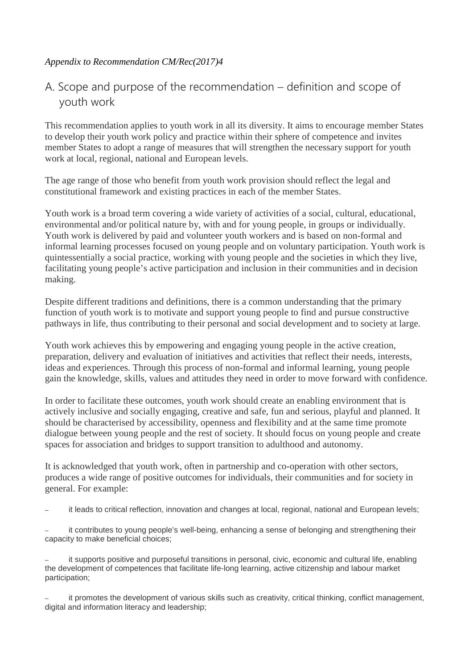### *Appendix to Recommendation CM/Rec(2017)4*

# A. Scope and purpose of the recommendation – definition and scope of youth work

This recommendation applies to youth work in all its diversity. It aims to encourage member States to develop their youth work policy and practice within their sphere of competence and invites member States to adopt a range of measures that will strengthen the necessary support for youth work at local, regional, national and European levels.

The age range of those who benefit from youth work provision should reflect the legal and constitutional framework and existing practices in each of the member States.

Youth work is a broad term covering a wide variety of activities of a social, cultural, educational, environmental and/or political nature by, with and for young people, in groups or individually. Youth work is delivered by paid and volunteer youth workers and is based on non-formal and informal learning processes focused on young people and on voluntary participation. Youth work is quintessentially a social practice, working with young people and the societies in which they live, facilitating young people's active participation and inclusion in their communities and in decision making.

Despite different traditions and definitions, there is a common understanding that the primary function of youth work is to motivate and support young people to find and pursue constructive pathways in life, thus contributing to their personal and social development and to society at large.

Youth work achieves this by empowering and engaging young people in the active creation, preparation, delivery and evaluation of initiatives and activities that reflect their needs, interests, ideas and experiences. Through this process of non-formal and informal learning, young people gain the knowledge, skills, values and attitudes they need in order to move forward with confidence.

In order to facilitate these outcomes, youth work should create an enabling environment that is actively inclusive and socially engaging, creative and safe, fun and serious, playful and planned. It should be characterised by accessibility, openness and flexibility and at the same time promote dialogue between young people and the rest of society. It should focus on young people and create spaces for association and bridges to support transition to adulthood and autonomy.

It is acknowledged that youth work, often in partnership and co-operation with other sectors, produces a wide range of positive outcomes for individuals, their communities and for society in general. For example:

– it leads to critical reflection, innovation and changes at local, regional, national and European levels;

it contributes to young people's well-being, enhancing a sense of belonging and strengthening their capacity to make beneficial choices;

it supports positive and purposeful transitions in personal, civic, economic and cultural life, enabling the development of competences that facilitate life-long learning, active citizenship and labour market participation;

– it promotes the development of various skills such as creativity, critical thinking, conflict management, digital and information literacy and leadership;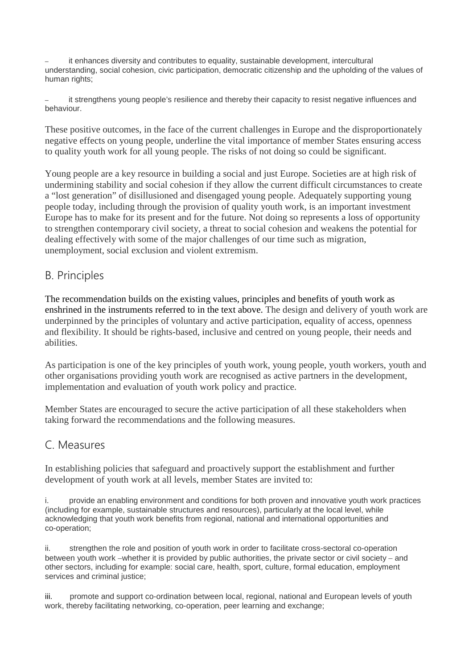it enhances diversity and contributes to equality, sustainable development, intercultural understanding, social cohesion, civic participation, democratic citizenship and the upholding of the values of human rights;

it strengthens young people's resilience and thereby their capacity to resist negative influences and behaviour.

These positive outcomes, in the face of the current challenges in Europe and the disproportionately negative effects on young people, underline the vital importance of member States ensuring access to quality youth work for all young people. The risks of not doing so could be significant.

Young people are a key resource in building a social and just Europe. Societies are at high risk of undermining stability and social cohesion if they allow the current difficult circumstances to create a "lost generation" of disillusioned and disengaged young people. Adequately supporting young people today, including through the provision of quality youth work, is an important investment Europe has to make for its present and for the future. Not doing so represents a loss of opportunity to strengthen contemporary civil society, a threat to social cohesion and weakens the potential for dealing effectively with some of the major challenges of our time such as migration, unemployment, social exclusion and violent extremism.

## B. Principles

The recommendation builds on the existing values, principles and benefits of youth work as enshrined in the instruments referred to in the text above. The design and delivery of youth work are underpinned by the principles of voluntary and active participation, equality of access, openness and flexibility. It should be rights-based, inclusive and centred on young people, their needs and abilities.

As participation is one of the key principles of youth work, young people, youth workers, youth and other organisations providing youth work are recognised as active partners in the development, implementation and evaluation of youth work policy and practice.

Member States are encouraged to secure the active participation of all these stakeholders when taking forward the recommendations and the following measures.

## C. Measures

In establishing policies that safeguard and proactively support the establishment and further development of youth work at all levels, member States are invited to:

i. provide an enabling environment and conditions for both proven and innovative youth work practices (including for example, sustainable structures and resources), particularly at the local level, while acknowledging that youth work benefits from regional, national and international opportunities and co-operation;

ii. strengthen the role and position of youth work in order to facilitate cross-sectoral co-operation between youth work −whether it is provided by public authorities, the private sector or civil society − and other sectors, including for example: social care, health, sport, culture, formal education, employment services and criminal justice;

iii. promote and support co-ordination between local, regional, national and European levels of youth work, thereby facilitating networking, co-operation, peer learning and exchange;